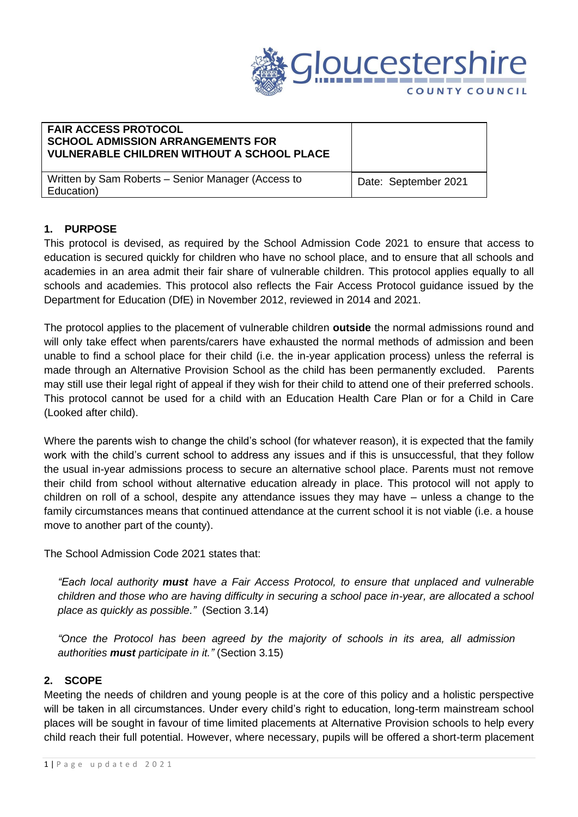

### **FAIR ACCESS PROTOCOL SCHOOL ADMISSION ARRANGEMENTS FOR VULNERABLE CHILDREN WITHOUT A SCHOOL PLACE**

Written by Sam Roberts – Senior Manager (Access to Education)

Date: September 2021

# **1. PURPOSE**

This protocol is devised, as required by the School Admission Code 2021 to ensure that access to education is secured quickly for children who have no school place, and to ensure that all schools and academies in an area admit their fair share of vulnerable children. This protocol applies equally to all schools and academies. This protocol also reflects the Fair Access Protocol guidance issued by the Department for Education (DfE) in November 2012, reviewed in 2014 and 2021.

The protocol applies to the placement of vulnerable children **outside** the normal admissions round and will only take effect when parents/carers have exhausted the normal methods of admission and been unable to find a school place for their child (i.e. the in-year application process) unless the referral is made through an Alternative Provision School as the child has been permanently excluded. Parents may still use their legal right of appeal if they wish for their child to attend one of their preferred schools. This protocol cannot be used for a child with an Education Health Care Plan or for a Child in Care (Looked after child).

Where the parents wish to change the child's school (for whatever reason), it is expected that the family work with the child's current school to address any issues and if this is unsuccessful, that they follow the usual in-year admissions process to secure an alternative school place. Parents must not remove their child from school without alternative education already in place. This protocol will not apply to children on roll of a school, despite any attendance issues they may have – unless a change to the family circumstances means that continued attendance at the current school it is not viable (i.e. a house move to another part of the county).

The School Admission Code 2021 states that:

*"Each local authority must have a Fair Access Protocol, to ensure that unplaced and vulnerable children and those who are having difficulty in securing a school pace in-year, are allocated a school place as quickly as possible."* (Section 3.14)

*"Once the Protocol has been agreed by the majority of schools in its area, all admission authorities must participate in it."* (Section 3.15)

# **2. SCOPE**

Meeting the needs of children and young people is at the core of this policy and a holistic perspective will be taken in all circumstances. Under every child's right to education, long-term mainstream school places will be sought in favour of time limited placements at Alternative Provision schools to help every child reach their full potential. However, where necessary, pupils will be offered a short-term placement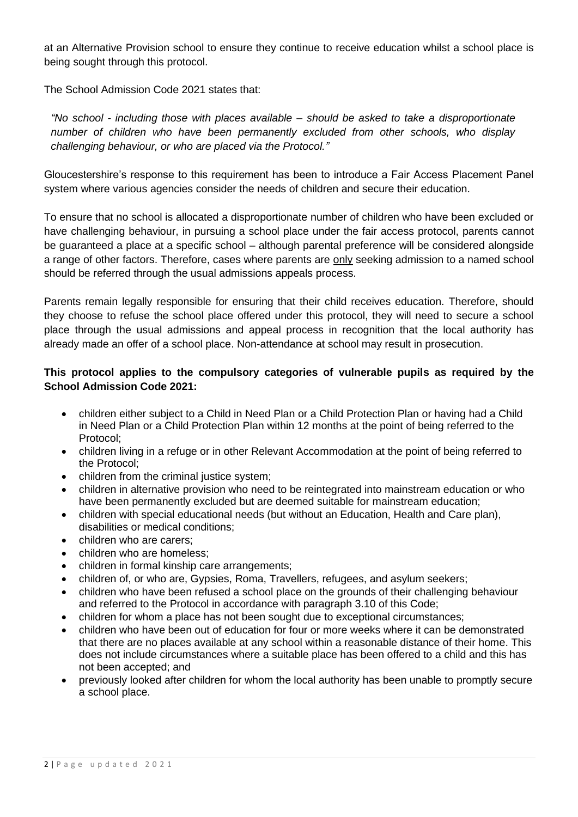at an Alternative Provision school to ensure they continue to receive education whilst a school place is being sought through this protocol.

The School Admission Code 2021 states that:

*"No school - including those with places available – should be asked to take a disproportionate number of children who have been permanently excluded from other schools, who display challenging behaviour, or who are placed via the Protocol."* 

Gloucestershire's response to this requirement has been to introduce a Fair Access Placement Panel system where various agencies consider the needs of children and secure their education.

To ensure that no school is allocated a disproportionate number of children who have been excluded or have challenging behaviour, in pursuing a school place under the fair access protocol, parents cannot be guaranteed a place at a specific school – although parental preference will be considered alongside a range of other factors. Therefore, cases where parents are only seeking admission to a named school should be referred through the usual admissions appeals process.

Parents remain legally responsible for ensuring that their child receives education. Therefore, should they choose to refuse the school place offered under this protocol, they will need to secure a school place through the usual admissions and appeal process in recognition that the local authority has already made an offer of a school place. Non-attendance at school may result in prosecution.

### **This protocol applies to the compulsory categories of vulnerable pupils as required by the School Admission Code 2021:**

- children either subject to a Child in Need Plan or a Child Protection Plan or having had a Child in Need Plan or a Child Protection Plan within 12 months at the point of being referred to the Protocol;
- children living in a refuge or in other Relevant Accommodation at the point of being referred to the Protocol;
- children from the criminal justice system;
- children in alternative provision who need to be reintegrated into mainstream education or who have been permanently excluded but are deemed suitable for mainstream education;
- children with special educational needs (but without an Education, Health and Care plan), disabilities or medical conditions;
- children who are carers;
- children who are homeless;
- children in formal kinship care arrangements;
- children of, or who are, Gypsies, Roma, Travellers, refugees, and asylum seekers;
- children who have been refused a school place on the grounds of their challenging behaviour and referred to the Protocol in accordance with paragraph 3.10 of this Code;
- children for whom a place has not been sought due to exceptional circumstances;
- children who have been out of education for four or more weeks where it can be demonstrated that there are no places available at any school within a reasonable distance of their home. This does not include circumstances where a suitable place has been offered to a child and this has not been accepted; and
- previously looked after children for whom the local authority has been unable to promptly secure a school place.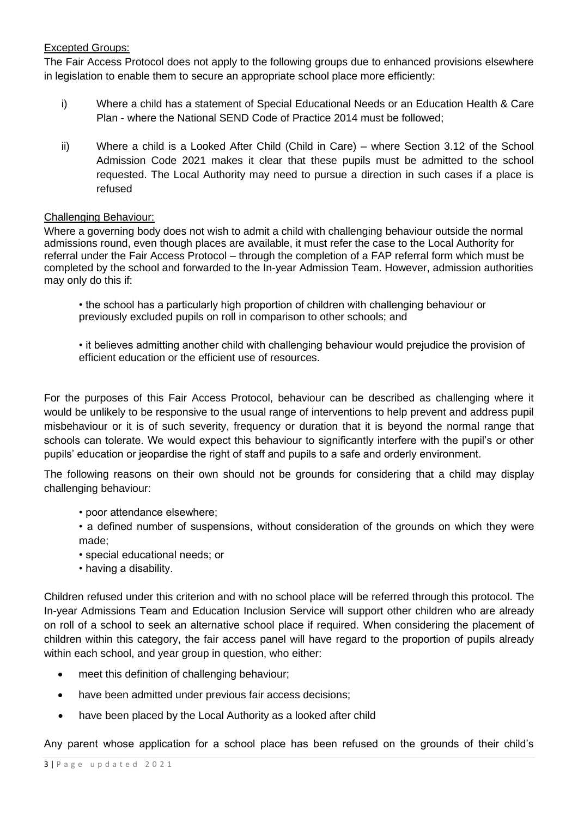### Excepted Groups:

The Fair Access Protocol does not apply to the following groups due to enhanced provisions elsewhere in legislation to enable them to secure an appropriate school place more efficiently:

- i) Where a child has a statement of Special Educational Needs or an Education Health & Care Plan - where the National [SEND Code of Practice](http://www.teachernet.gov.uk/_doc/3724/SENCodeOfPractice.pdf) 2014 must be followed;
- ii) Where a child is a Looked After Child (Child in Care) where Section 3.12 of the School Admission Code 2021 makes it clear that these pupils must be admitted to the school requested. The Local Authority may need to pursue a direction in such cases if a place is refused

#### Challenging Behaviour:

Where a governing body does not wish to admit a child with challenging behaviour outside the normal admissions round, even though places are available, it must refer the case to the Local Authority for referral under the Fair Access Protocol – through the completion of a FAP referral form which must be completed by the school and forwarded to the In-year Admission Team. However, admission authorities may only do this if:

- the school has a particularly high proportion of children with challenging behaviour or previously excluded pupils on roll in comparison to other schools; and
- it believes admitting another child with challenging behaviour would prejudice the provision of efficient education or the efficient use of resources.

For the purposes of this Fair Access Protocol, behaviour can be described as challenging where it would be unlikely to be responsive to the usual range of interventions to help prevent and address pupil misbehaviour or it is of such severity, frequency or duration that it is beyond the normal range that schools can tolerate. We would expect this behaviour to significantly interfere with the pupil's or other pupils' education or jeopardise the right of staff and pupils to a safe and orderly environment.

The following reasons on their own should not be grounds for considering that a child may display challenging behaviour:

- poor attendance elsewhere;
- a defined number of suspensions, without consideration of the grounds on which they were made;
- special educational needs; or
- having a disability.

Children refused under this criterion and with no school place will be referred through this protocol. The In-year Admissions Team and Education Inclusion Service will support other children who are already on roll of a school to seek an alternative school place if required. When considering the placement of children within this category, the fair access panel will have regard to the proportion of pupils already within each school, and year group in question, who either:

- meet this definition of challenging behaviour;
- have been admitted under previous fair access decisions;
- have been placed by the Local Authority as a looked after child

Any parent whose application for a school place has been refused on the grounds of their child's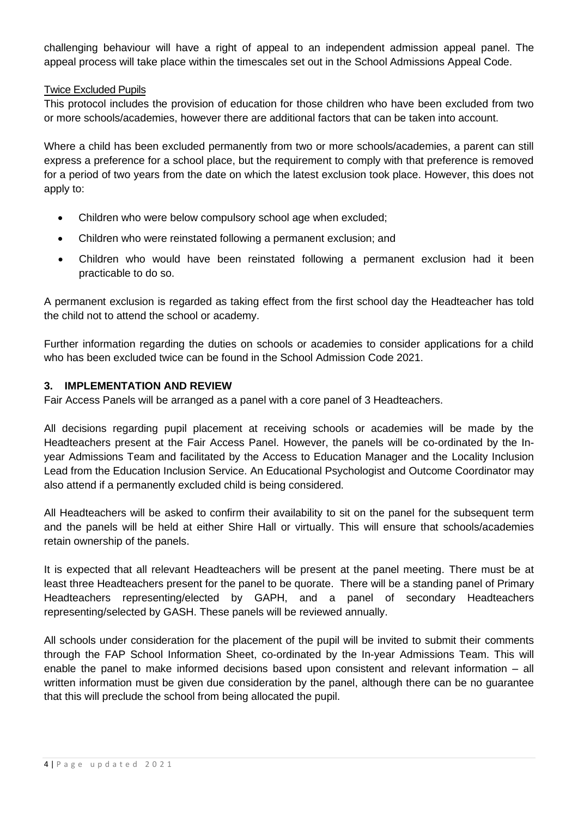challenging behaviour will have a right of appeal to an independent admission appeal panel. The appeal process will take place within the timescales set out in the School Admissions Appeal Code.

#### Twice Excluded Pupils

This protocol includes the provision of education for those children who have been excluded from two or more schools/academies, however there are additional factors that can be taken into account.

Where a child has been excluded permanently from two or more schools/academies, a parent can still express a preference for a school place, but the requirement to comply with that preference is removed for a period of two years from the date on which the latest exclusion took place. However, this does not apply to:

- Children who were below compulsory school age when excluded;
- Children who were reinstated following a permanent exclusion; and
- Children who would have been reinstated following a permanent exclusion had it been practicable to do so.

A permanent exclusion is regarded as taking effect from the first school day the Headteacher has told the child not to attend the school or academy.

Further information regarding the duties on schools or academies to consider applications for a child who has been excluded twice can be found in the School Admission Code 2021.

#### **3. IMPLEMENTATION AND REVIEW**

Fair Access Panels will be arranged as a panel with a core panel of 3 Headteachers.

All decisions regarding pupil placement at receiving schools or academies will be made by the Headteachers present at the Fair Access Panel. However, the panels will be co-ordinated by the Inyear Admissions Team and facilitated by the Access to Education Manager and the Locality Inclusion Lead from the Education Inclusion Service. An Educational Psychologist and Outcome Coordinator may also attend if a permanently excluded child is being considered.

All Headteachers will be asked to confirm their availability to sit on the panel for the subsequent term and the panels will be held at either Shire Hall or virtually. This will ensure that schools/academies retain ownership of the panels.

It is expected that all relevant Headteachers will be present at the panel meeting. There must be at least three Headteachers present for the panel to be quorate. There will be a standing panel of Primary Headteachers representing/elected by GAPH, and a panel of secondary Headteachers representing/selected by GASH. These panels will be reviewed annually.

All schools under consideration for the placement of the pupil will be invited to submit their comments through the FAP School Information Sheet, co-ordinated by the In-year Admissions Team. This will enable the panel to make informed decisions based upon consistent and relevant information – all written information must be given due consideration by the panel, although there can be no guarantee that this will preclude the school from being allocated the pupil.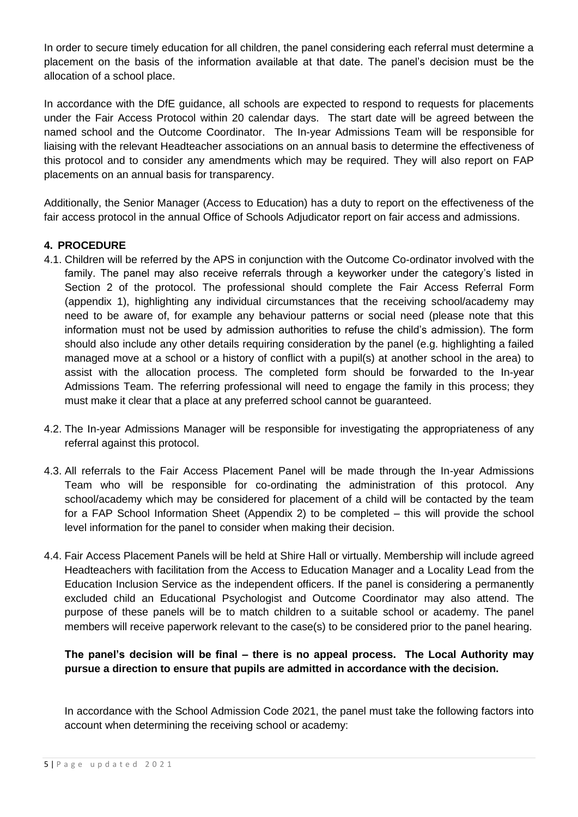In order to secure timely education for all children, the panel considering each referral must determine a placement on the basis of the information available at that date. The panel's decision must be the allocation of a school place.

In accordance with the DfE guidance, all schools are expected to respond to requests for placements under the Fair Access Protocol within 20 calendar days. The start date will be agreed between the named school and the Outcome Coordinator. The In-year Admissions Team will be responsible for liaising with the relevant Headteacher associations on an annual basis to determine the effectiveness of this protocol and to consider any amendments which may be required. They will also report on FAP placements on an annual basis for transparency.

Additionally, the Senior Manager (Access to Education) has a duty to report on the effectiveness of the fair access protocol in the annual Office of Schools Adjudicator report on fair access and admissions.

### **4. PROCEDURE**

- 4.1. Children will be referred by the APS in conjunction with the Outcome Co-ordinator involved with the family. The panel may also receive referrals through a keyworker under the category's listed in Section 2 of the protocol. The professional should complete the Fair Access Referral Form (appendix 1), highlighting any individual circumstances that the receiving school/academy may need to be aware of, for example any behaviour patterns or social need (please note that this information must not be used by admission authorities to refuse the child's admission). The form should also include any other details requiring consideration by the panel (e.g. highlighting a failed managed move at a school or a history of conflict with a pupil(s) at another school in the area) to assist with the allocation process. The completed form should be forwarded to the In-year Admissions Team. The referring professional will need to engage the family in this process; they must make it clear that a place at any preferred school cannot be guaranteed.
- 4.2. The In-year Admissions Manager will be responsible for investigating the appropriateness of any referral against this protocol.
- 4.3. All referrals to the Fair Access Placement Panel will be made through the In-year Admissions Team who will be responsible for co-ordinating the administration of this protocol. Any school/academy which may be considered for placement of a child will be contacted by the team for a FAP School Information Sheet (Appendix 2) to be completed – this will provide the school level information for the panel to consider when making their decision.
- 4.4. Fair Access Placement Panels will be held at Shire Hall or virtually. Membership will include agreed Headteachers with facilitation from the Access to Education Manager and a Locality Lead from the Education Inclusion Service as the independent officers. If the panel is considering a permanently excluded child an Educational Psychologist and Outcome Coordinator may also attend. The purpose of these panels will be to match children to a suitable school or academy. The panel members will receive paperwork relevant to the case(s) to be considered prior to the panel hearing.

# **The panel's decision will be final – there is no appeal process. The Local Authority may pursue a direction to ensure that pupils are admitted in accordance with the decision.**

In accordance with the School Admission Code 2021, the panel must take the following factors into account when determining the receiving school or academy: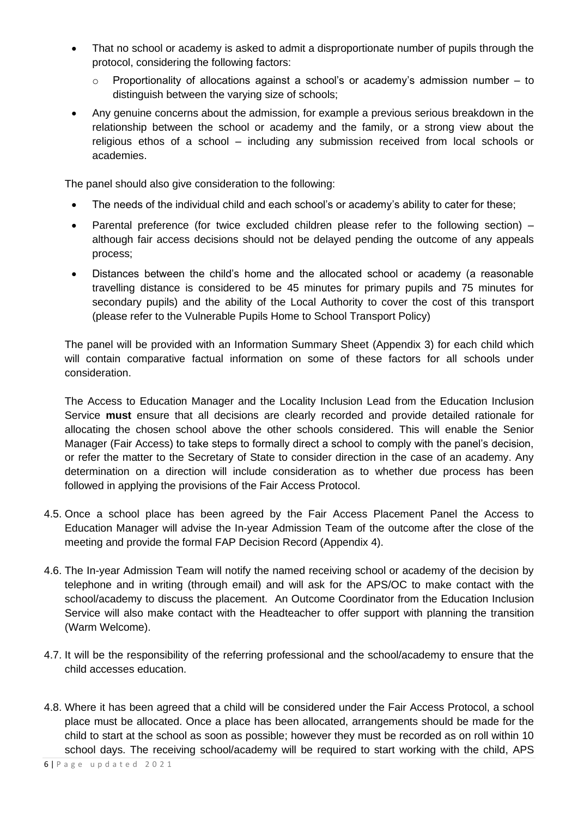- That no school or academy is asked to admit a disproportionate number of pupils through the protocol, considering the following factors:
	- o Proportionality of allocations against a school's or academy's admission number to distinguish between the varying size of schools;
- Any genuine concerns about the admission, for example a previous serious breakdown in the relationship between the school or academy and the family, or a strong view about the religious ethos of a school – including any submission received from local schools or academies.

The panel should also give consideration to the following:

- The needs of the individual child and each school's or academy's ability to cater for these;
- Parental preference (for twice excluded children please refer to the following section) although fair access decisions should not be delayed pending the outcome of any appeals process;
- Distances between the child's home and the allocated school or academy (a reasonable travelling distance is considered to be 45 minutes for primary pupils and 75 minutes for secondary pupils) and the ability of the Local Authority to cover the cost of this transport (please refer to the Vulnerable Pupils Home to School Transport Policy)

The panel will be provided with an Information Summary Sheet (Appendix 3) for each child which will contain comparative factual information on some of these factors for all schools under consideration.

The Access to Education Manager and the Locality Inclusion Lead from the Education Inclusion Service **must** ensure that all decisions are clearly recorded and provide detailed rationale for allocating the chosen school above the other schools considered. This will enable the Senior Manager (Fair Access) to take steps to formally direct a school to comply with the panel's decision, or refer the matter to the Secretary of State to consider direction in the case of an academy. Any determination on a direction will include consideration as to whether due process has been followed in applying the provisions of the Fair Access Protocol.

- 4.5. Once a school place has been agreed by the Fair Access Placement Panel the Access to Education Manager will advise the In-year Admission Team of the outcome after the close of the meeting and provide the formal FAP Decision Record (Appendix 4).
- 4.6. The In-year Admission Team will notify the named receiving school or academy of the decision by telephone and in writing (through email) and will ask for the APS/OC to make contact with the school/academy to discuss the placement. An Outcome Coordinator from the Education Inclusion Service will also make contact with the Headteacher to offer support with planning the transition (Warm Welcome).
- 4.7. It will be the responsibility of the referring professional and the school/academy to ensure that the child accesses education.
- 4.8. Where it has been agreed that a child will be considered under the Fair Access Protocol, a school place must be allocated. Once a place has been allocated, arrangements should be made for the child to start at the school as soon as possible; however they must be recorded as on roll within 10 school days. The receiving school/academy will be required to start working with the child, APS